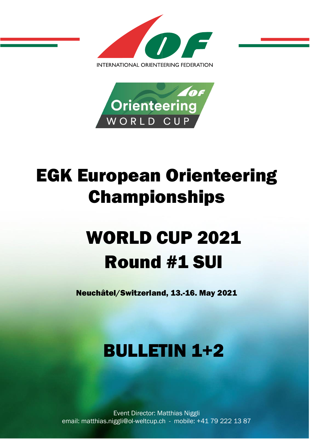



# EGK European Orienteering Championships

# WORLD CUP 2021 Round #1 SUI

Neuchâtel/Switzerland, 13.-16. May 2021

## BULLETIN 1+2

Event Director: Matthias Niggli email: matthias.niggli@ol-weltcup.ch - mobile: +41 79 222 13 87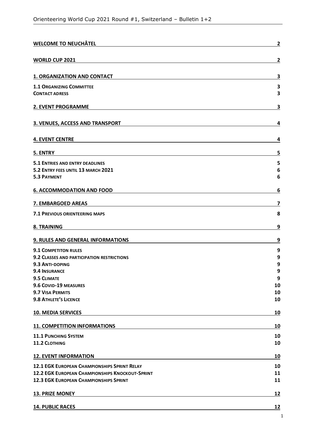| <b>WELCOME TO NEUCHÂTEL</b>                            | $\mathbf{2}$            |
|--------------------------------------------------------|-------------------------|
| <b>WORLD CUP 2021</b>                                  | $\overline{\mathbf{c}}$ |
| <b>1. ORGANIZATION AND CONTACT</b>                     | 3                       |
| <b>1.1 ORGANIZING COMMITTEE</b>                        | 3                       |
| <b>CONTACT ADRESS</b>                                  | 3                       |
| 2. EVENT PROGRAMME                                     | З                       |
| 3. VENUES, ACCESS AND TRANSPORT                        | 4                       |
| <b>4. EVENT CENTRE</b>                                 | 4                       |
| 5. ENTRY                                               | 5                       |
| <b>5.1 ENTRIES AND ENTRY DEADLINES</b>                 | 5                       |
| 5.2 ENTRY FEES UNTIL 13 MARCH 2021                     | 6                       |
| <b>5.3 PAYMENT</b>                                     | 6                       |
| <b>6. ACCOMMODATION AND FOOD</b>                       | 6                       |
| 7. EMBARGOED AREAS                                     | 7                       |
| <b>7.1 PREVIOUS ORIENTEERING MAPS</b>                  | 8                       |
| 8. TRAINING                                            | 9                       |
| 9. RULES AND GENERAL INFORMATIONS                      | 9                       |
| <b>9.1 COMPETITON RULES</b>                            | 9                       |
| 9.2 CLASSES AND PARTICIPATION RESTRICTIONS             | 9                       |
| 9.3 ANTI-DOPING                                        | 9                       |
| 9.4 INSURANCE                                          | 9                       |
| <b>9.5 CLIMATE</b>                                     | 9                       |
| 9.6 COVID-19 MEASURES                                  | 10                      |
| <b>9.7 VISA PERMITS</b>                                | 10                      |
| <b>9.8 ATHLETE'S LICENCE</b>                           | 10                      |
| <b>10. MEDIA SERVICES</b>                              | 10                      |
| <b>11. COMPETITION INFORMATIONS</b>                    | 10                      |
| <b>11.1 PUNCHING SYSTEM</b>                            | 10                      |
| <b>11.2 CLOTHING</b>                                   | 10                      |
| <b>12. EVENT INFORMATION</b>                           | 10                      |
| <b>12.1 EGK EUROPEAN CHAMPIONSHIPS SPRINT RELAY</b>    | 10                      |
| <b>12.2 EGK EUROPEAN CHAMPIONSHIPS KNOCKOUT-SPRINT</b> | 11                      |
| <b>12.3 EGK EUROPEAN CHAMPIONSHIPS SPRINT</b>          | 11                      |
| <b>13. PRIZE MONEY</b>                                 | <u>12</u>               |
| <b>14. PUBLIC RACES</b>                                | <u>12</u>               |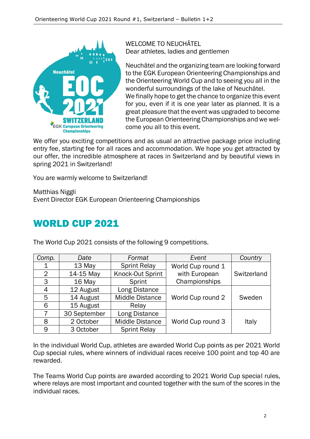

WELCOME TO NEUCHÂTEL Dear athletes, ladies and gentlemen

Neuchâtel and the organizing team are looking forward to the EGK European Orienteering Championships and the Orienteering World Cup and to seeing you all in the wonderful surroundings of the lake of Neuchâtel. We finally hope to get the chance to organize this event for you, even if it is one year later as planned. It is a great pleasure that the event was upgraded to become the European Orienteering Championships and we welcome you all to this event.

We offer you exciting competitions and as usual an attractive package price including entry fee, starting fee for all races and accommodation. We hope you get attracted by our offer, the incredible atmosphere at races in Switzerland and by beautiful views in spring 2021 in Switzerland!

You are warmly welcome to Switzerland!

Matthias Niggli Event Director EGK European Orienteering Championships

## WORLD CUP 2021

The World Cup 2021 consists of the following 9 competitions.

| Comp.          | Date         | Format                 | Event             | Country     |
|----------------|--------------|------------------------|-------------------|-------------|
| 1              | 13 May       | <b>Sprint Relay</b>    | World Cup round 1 |             |
| $\overline{2}$ | 14-15 May    | Knock-Out Sprint       | with European     | Switzerland |
| 3              | 16 May       | Sprint                 | Championships     |             |
| 4              | 12 August    | Long Distance          |                   |             |
| 5              | 14 August    | <b>Middle Distance</b> | World Cup round 2 | Sweden      |
| 6              | 15 August    | Relay                  |                   |             |
|                | 30 September | Long Distance          |                   |             |
| 8              | 2 October    | <b>Middle Distance</b> | World Cup round 3 | Italy       |
| 9              | 3 October    | <b>Sprint Relay</b>    |                   |             |

In the individual World Cup, athletes are awarded World Cup points as per 2021 World Cup special rules, where winners of individual races receive 100 point and top 40 are rewarded.

The Teams World Cup points are awarded according to 2021 World Cup special rules, where relays are most important and counted together with the sum of the scores in the individual races.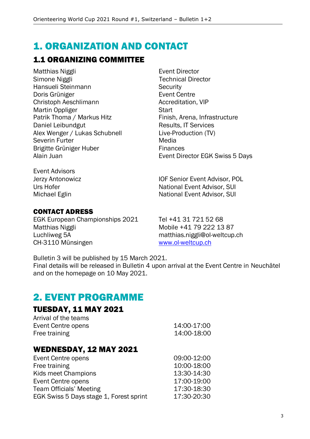## 1. ORGANIZATION AND CONTACT

## 1.1 ORGANIZING COMMITTEE

Matthias Niggli **Event Director** Simone Niggli **Technical Director** Hansueli Steinmann Security Doris Grüniger **Event Centre** Christoph Aeschlimann **Accreditation**, VIP Martin Oppliger Start Patrik Thoma / Markus Hitz Finish, Arena, Infrastructure Daniel Leibundgut **Results, IT Services** Alex Wenger / Lukas Schubnell Live-Production (TV) Severin Furter **Media** Media Brigitte Grüniger Huber Finances

Alain Juan **Alain Juan** Event Director EGK Swiss 5 Days

Event Advisors Jerzy Antonowicz IOF Senior Event Advisor, POL

#### CONTACT ADRESS

EGK European Championships 2021 Tel +41 31 721 52 68 Matthias Niggli Mobile +41 79 222 13 87 Luchliweg 5A matthias.niggli@ol-weltcup.ch CH-3110 Münsingen [www.ol-weltcup.ch](http://www.ol-weltcup.ch/)

Urs Hofer National Event Advisor, SUI Michael Eglin National Event Advisor, SUI

Bulletin 3 will be published by 15 March 2021.

Final details will be released in Bulletin 4 upon arrival at the Event Centre in Neuchâtel and on the homepage on 10 May 2021.

## 2. EVENT PROGRAMME

### TUESDAY, 11 MAY 2021

| Arrival of the teams |             |
|----------------------|-------------|
| Event Centre opens   | 14:00-17:00 |
| Free training        | 14:00-18:00 |

#### WEDNESDAY, 12 MAY 2021

| *************************               |             |
|-----------------------------------------|-------------|
| Event Centre opens                      | 09:00-12:00 |
| Free training                           | 10:00-18:00 |
| Kids meet Champions                     | 13:30-14:30 |
| Event Centre opens                      | 17:00-19:00 |
| <b>Team Officials' Meeting</b>          | 17:30-18:30 |
| EGK Swiss 5 Days stage 1, Forest sprint | 17:30-20:30 |
|                                         |             |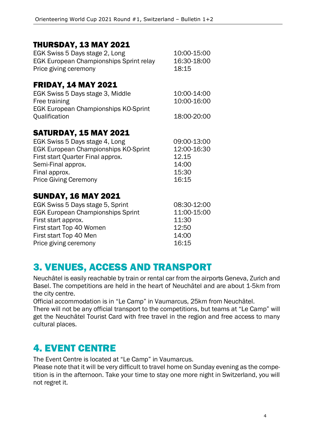#### THURSDAY, 13 MAY 2021

| EGK Swiss 5 Days stage 2, Long                 | 10:00-15:00 |
|------------------------------------------------|-------------|
| <b>EGK European Championships Sprint relay</b> | 16:30-18:00 |
| Price giving ceremony                          | 18:15       |

#### FRIDAY, 14 MAY 2021

| EGK Swiss 5 Days stage 3, Middle            | 10:00-14:00 |
|---------------------------------------------|-------------|
| Free training                               | 10:00-16:00 |
| <b>EGK European Championships KO-Sprint</b> |             |
| Qualification                               | 18:00-20:00 |

#### SATURDAY, 15 MAY 2021

| EGK Swiss 5 Days stage 4, Long              | 09:00-13:00 |
|---------------------------------------------|-------------|
| <b>EGK European Championships KO-Sprint</b> | 12:00-16:30 |
| First start Quarter Final approx.           | 12.15       |
| Semi-Final approx.                          | 14:00       |
| Final approx.                               | 15:30       |
| <b>Price Giving Ceremony</b>                | 16:15       |

#### SUNDAY, 16 MAY 2021

| EGK Swiss 5 Days stage 5, Sprint         | 08:30-12:00 |
|------------------------------------------|-------------|
| <b>EGK European Championships Sprint</b> | 11:00-15:00 |
| First start approx.                      | 11:30       |
| First start Top 40 Women                 | 12:50       |
| First start Top 40 Men                   | 14:00       |
| Price giving ceremony                    | 16:15       |

## 3. VENUES, ACCESS AND TRANSPORT

Neuchâtel is easily reachable by train or rental car from the airports Geneva, Zurich and Basel. The competitions are held in the heart of Neuchâtel and are about 1-5km from the city centre.

Official accommodation is in "Le Camp" in Vaumarcus, 25km from Neuchâtel.

There will not be any official transport to the competitions, but teams at "Le Camp" will get the Neuchâtel Tourist Card with free travel in the region and free access to many cultural places.

## 4. EVENT CENTRE

The Event Centre is located at "Le Camp" in Vaumarcus.

Please note that it will be very difficult to travel home on Sunday evening as the competition is in the afternoon. Take your time to stay one more night in Switzerland, you will not regret it.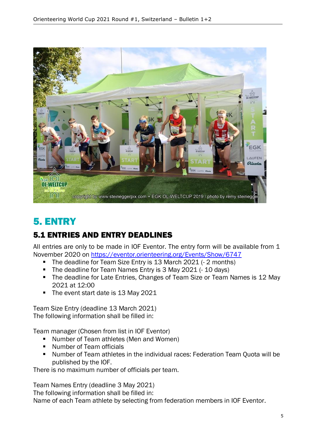

## 5. ENTRY

## 5.1 ENTRIES AND ENTRY DEADLINES

All entries are only to be made in IOF Eventor. The entry form will be available from 1 November 2020 on <https://eventor.orienteering.org/Events/Show/6747>

- The deadline for Team Size Entry is 13 March 2021 (- 2 months)
- The deadline for Team Names Entry is 3 May 2021 (- 10 days)
- The deadline for Late Entries, Changes of Team Size or Team Names is 12 May 2021 at 12:00
- The event start date is 13 May 2021

Team Size Entry (deadline 13 March 2021) The following information shall be filled in:

Team manager (Chosen from list in IOF Eventor)

- Number of Team athletes (Men and Women)
- Number of Team officials
- Number of Team athletes in the individual races: Federation Team Quota will be published by the IOF.

There is no maximum number of officials per team.

Team Names Entry (deadline 3 May 2021)

The following information shall be filled in:

Name of each Team athlete by selecting from federation members in IOF Eventor.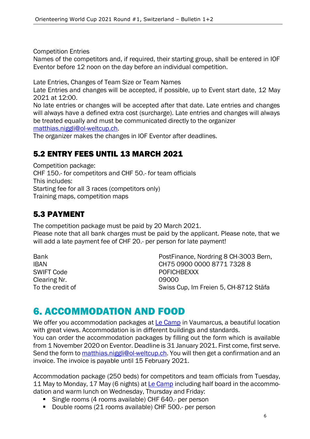Competition Entries

Names of the competitors and, if required, their starting group, shall be entered in IOF Eventor before 12 noon on the day before an individual competition.

Late Entries, Changes of Team Size or Team Names

Late Entries and changes will be accepted, if possible, up to Event start date, 12 May 2021 at 12:00.

No late entries or changes will be accepted after that date. Late entries and changes will always have a defined extra cost (surcharge). Late entries and changes will always be treated equally and must be communicated directly to the organizer [matthias.niggli@ol-weltcup.ch.](mailto:matthias.niggli@ol-weltcup.ch)

The organizer makes the changes in IOF Eventor after deadlines.

#### 5.2 ENTRY FEES UNTIL 13 MARCH 2021

Competition package: CHF 150.- for competitors and CHF 50.- for team officials This includes: Starting fee for all 3 races (competitors only) Training maps, competition maps

## 5.3 PAYMENT

The competition package must be paid by 20 March 2021. Please note that all bank charges must be paid by the applicant. Please note, that we will add a late payment fee of CHF 20.- per person for late payment!

SWIFT Code POFICHBEXXX Clearing Nr. 09000

Bank **Bank** PostFinance, Nordring 8 CH-3003 Bern, IBAN CH75 0900 0000 8771 7328 8 To the credit of Swiss Cup, Im Freien 5, CH-8712 Stäfa

## 6. ACCOMMODATION AND FOOD

We offer you accommodation packages at [Le Camp](https://www.lecamp.ch/en/) in Vaumarcus, a beautiful location with great views. Accommodation is in different buildings and standards. You can order the accommodation packages by filling out the form which is available

from 1 November 2020 on Eventor. Deadline is 31 January 2021. First come, first serve. Send the form to [matthias.niggli@ol-weltcup.ch.](mailto:matthias.niggli@ol-weltcup.ch) You will then get a confirmation and an invoice. The invoice is payable until 15 February 2021.

Accommodation package (250 beds) for competitors and team officials from Tuesday, 11 May to Monday, 17 May (6 nights) at [Le Camp](https://www.lecamp.ch/en/) including half board in the accommodation and warm lunch on Wednesday, Thursday and Friday:

- Single rooms (4 rooms available) CHF 640.- per person
- Double rooms (21 rooms available) CHF 500.- per person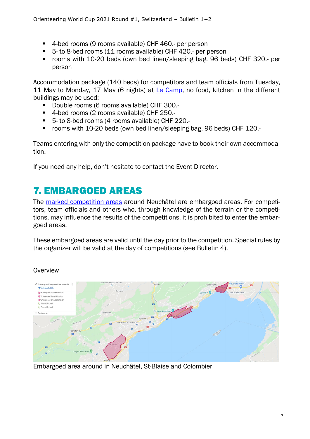- 4-bed rooms (9 rooms available) CHF 460.- per person
- 5- to 8-bed rooms (11 rooms available) CHF 420.- per person
- rooms with 10-20 beds (own bed linen/sleeping bag, 96 beds) CHF 320.- per person

Accommodation package (140 beds) for competitors and team officials from Tuesday, 11 May to Monday, 17 May (6 nights) at [Le Camp,](https://www.lecamp.ch/en/) no food, kitchen in the different buildings may be used:

- Double rooms (6 rooms available) CHF 300.-
- 4-bed rooms (2 rooms available) CHF 250.-
- 5- to 8-bed rooms (4 rooms available) CHF 220.-
- rooms with 10-20 beds (own bed linen/sleeping bag, 96 beds) CHF 120.-

Teams entering with only the competition package have to book their own accommodation.

If you need any help, don't hesitate to contact the Event Director.

## 7. EMBARGOED AREAS

The [marked competition areas](https://drive.google.com/open?id=1MBmyIGXVxixjzTS7Sr6UXp2103HJwrQJ&usp=sharing) around Neuchâtel are embargoed areas. For competitors, team officials and others who, through knowledge of the terrain or the competitions, may influence the results of the competitions, it is prohibited to enter the embargoed areas.

These embargoed areas are valid until the day prior to the competition. Special rules by the organizer will be valid at the day of competitions (see Bulletin 4).



**Overview** 

Embargoed area around in Neuchâtel, St-Blaise and Colombier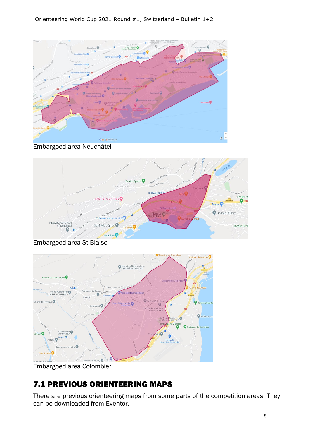

Embargoed area Neuchâtel



Embargoed area St-Blaise  $\circ$ -<br>Ondation Neuchâtel<br>L'Accueil pour Anima ö **BÔLI** O  $\overline{1}$  AG, Fili Robinson L  $\epsilon$ oudry<sup>n</sup>  $\bullet$ stems Assemblin Café du Pont Boudry O

Embargoed area Colombier

## 7.1 PREVIOUS ORIENTEERING MAPS

There are previous orienteering maps from some parts of the competition areas. They can be downloaded from Eventor.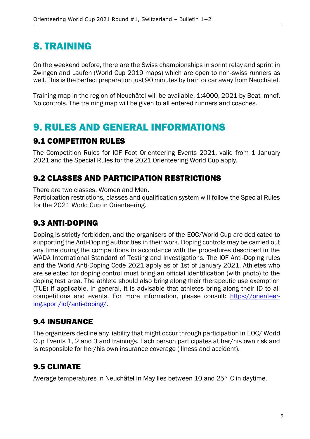## 8. TRAINING

On the weekend before, there are the Swiss championships in sprint relay and sprint in Zwingen and Laufen (World Cup 2019 maps) which are open to non-swiss runners as well. This is the perfect preparation just 90 minutes by train or car away from Neuchâtel.

Training map in the region of Neuchâtel will be available, 1:4000, 2021 by Beat Imhof. No controls. The training map will be given to all entered runners and coaches.

## 9. RULES AND GENERAL INFORMATIONS

#### 9.1 COMPETITON RULES

The Competition Rules for IOF Foot Orienteering Events 2021, valid from 1 January 2021 and the Special Rules for the 2021 Orienteering World Cup apply.

## 9.2 CLASSES AND PARTICIPATION RESTRICTIONS

There are two classes, Women and Men.

Participation restrictions, classes and qualification system will follow the Special Rules for the 2021 World Cup in Orienteering.

## 9.3 ANTI-DOPING

Doping is strictly forbidden, and the organisers of the EOC/World Cup are dedicated to supporting the Anti-Doping authorities in their work. Doping controls may be carried out any time during the competitions in accordance with the procedures described in the WADA International Standard of Testing and Investigations. The IOF Anti-Doping rules and the World Anti-Doping Code 2021 apply as of 1st of January 2021. Athletes who are selected for doping control must bring an official identification (with photo) to the doping test area. The athlete should also bring along their therapeutic use exemption (TUE) if applicable. In general, it is advisable that athletes bring along their ID to all competitions and events. For more information, please consult: [https://orienteer](https://orienteering.sport/iof/anti-doping/)[ing.sport/iof/anti-doping/.](https://orienteering.sport/iof/anti-doping/)

## 9.4 INSURANCE

The organizers decline any liability that might occur through participation in EOC/ World Cup Events 1, 2 and 3 and trainings. Each person participates at her/his own risk and is responsible for her/his own insurance coverage (illness and accident).

## 9.5 CLIMATE

Average temperatures in Neuchâtel in May lies between 10 and 25° C in daytime.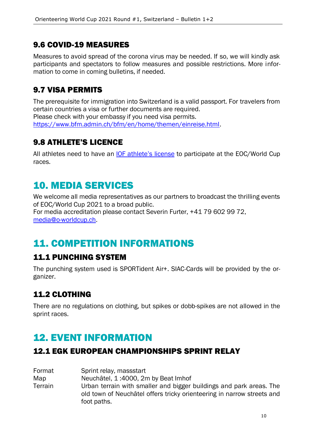#### 9.6 COVID-19 MEASURES

Measures to avoid spread of the corona virus may be needed. If so, we will kindly ask participants and spectators to follow measures and possible restrictions. More information to come in coming bulletins, if needed.

### 9.7 VISA PERMITS

The prerequisite for immigration into Switzerland is a valid passport. For travelers from certain countries a visa or further documents are required. Please check with your embassy if you need visa permits. [https://www.bfm.admin.ch/bfm/en/home/themen/einreise.html.](https://www.bfm.admin.ch/bfm/en/home/themen/einreise.html)

## 9.8 ATHLETE'S LICENCE

All athletes need to have an [IOF athlete's](https://orienteering.sport/iof/for-athletes/athletes-licence/) license to participate at the EOC/World Cup races.

## 10. MEDIA SERVICES

We welcome all media representatives as our partners to broadcast the thrilling events of EOC/World Cup 2021 to a broad public. For media accreditation please contact Severin Furter, +41 79 602 99 72, [media@o-worldcup.ch.](mailto:media@o-worldcup.ch)

## 11. COMPETITION INFORMATIONS

## 11.1 PUNCHING SYSTEM

The punching system used is SPORTident Air+. SIAC-Cards will be provided by the organizer.

#### 11.2 CLOTHING

There are no regulations on clothing, but spikes or dobb-spikes are not allowed in the sprint races.

## 12. EVENT INFORMATION

#### 12.1 EGK EUROPEAN CHAMPIONSHIPS SPRINT RELAY

| Format  | Sprint relay, massstart                                                                                                                                      |
|---------|--------------------------------------------------------------------------------------------------------------------------------------------------------------|
| Map     | Neuchâtel, 1:4000, 2m by Beat Imhof                                                                                                                          |
| Terrain | Urban terrain with smaller and bigger buildings and park areas. The<br>old town of Neuchâtel offers tricky orienteering in narrow streets and<br>foot paths. |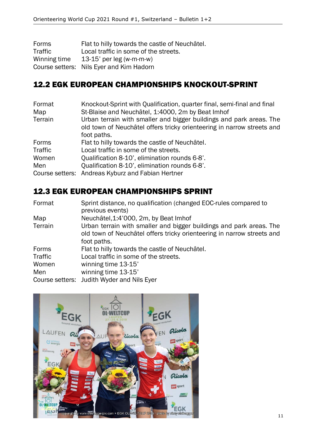| Forms        | Flat to hilly towards the castle of Neuchâtel. |
|--------------|------------------------------------------------|
| Traffic      | Local traffic in some of the streets.          |
| Winning time | 13-15' per leg (w-m-m-w)                       |
|              | Course setters: Nils Eyer and Kim Hadorn       |

### 12.2 EGK EUROPEAN CHAMPIONSHIPS KNOCKOUT-SPRINT

| Format          | Knockout-Sprint with Qualification, quarter final, semi-final and final |
|-----------------|-------------------------------------------------------------------------|
| Map             | St-Blaise and Neuchâtel, 1:4000, 2m by Beat Imhof                       |
| Terrain         | Urban terrain with smaller and bigger buildings and park areas. The     |
|                 | old town of Neuchâtel offers tricky orienteering in narrow streets and  |
|                 | foot paths.                                                             |
| Forms           | Flat to hilly towards the castle of Neuchâtel.                          |
| Traffic         | Local traffic in some of the streets.                                   |
| Women           | Oualification 8-10', elimination rounds 6-8'.                           |
| Men             | Qualification 8-10', elimination rounds 6-8'.                           |
| Course setters: | Andreas Kyburz and Fabian Hertner                                       |

#### 12.3 EGK EUROPEAN CHAMPIONSHIPS SPRINT

| Format  | Sprint distance, no qualification (changed EOC-rules compared to       |
|---------|------------------------------------------------------------------------|
|         | previous events)                                                       |
| Map     | Neuchâtel, 1:4'000, 2m, by Beat Imhof                                  |
| Terrain | Urban terrain with smaller and bigger buildings and park areas. The    |
|         | old town of Neuchâtel offers tricky orienteering in narrow streets and |
|         | foot paths.                                                            |
| Forms   | Flat to hilly towards the castle of Neuchâtel.                         |
| Traffic | Local traffic in some of the streets.                                  |
| Women   | winning time 13-15'                                                    |
| Men     | winning time 13-15'                                                    |
|         | Course setters: Judith Wyder and Nils Eyer                             |

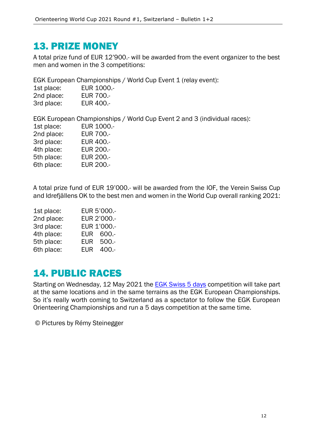## 13. PRIZE MONEY

A total prize fund of EUR 12'900.- will be awarded from the event organizer to the best men and women in the 3 competitions:

EGK European Championships / World Cup Event 1 (relay event):

| 1st place: | EUR 1000 .-      |
|------------|------------------|
| 2nd place: | <b>EUR 700.-</b> |
| 3rd place: | EUR 400.-        |

EGK European Championships / World Cup Event 2 and 3 (individual races):

| 1st place: | <b>EUR 1000.-</b> |
|------------|-------------------|
| 2nd place: | <b>EUR 700 .-</b> |
| 3rd place: | <b>EUR 400.-</b>  |
| 4th place: | <b>EUR 200.-</b>  |
| 5th place: | <b>EUR 200.-</b>  |
| 6th place: | <b>EUR 200.-</b>  |

A total prize fund of EUR 19'000.- will be awarded from the IOF, the Verein Swiss Cup and Idrefjällens OK to the best men and women in the World Cup overall ranking 2021:

| 1st place: |            | EUR 5'000 .- |
|------------|------------|--------------|
| 2nd place: |            | EUR 2'000 .- |
| 3rd place: |            | EUR 1'000 .- |
| 4th place: |            | EUR 600 .-   |
| 5th place: |            | EUR 500 .-   |
| 6th place: | <b>EUR</b> | $400 -$      |

## 14. PUBLIC RACES

Starting on Wednesday, 12 May 2021 the [EGK Swiss 5 days](https://www.swiss5days2020.ch/en) competition will take part at the same locations and in the same terrains as the EGK European Championships. So it's really worth coming to Switzerland as a spectator to follow the EGK European Orienteering Championships and run a 5 days competition at the same time.

© Pictures by Rémy Steinegger